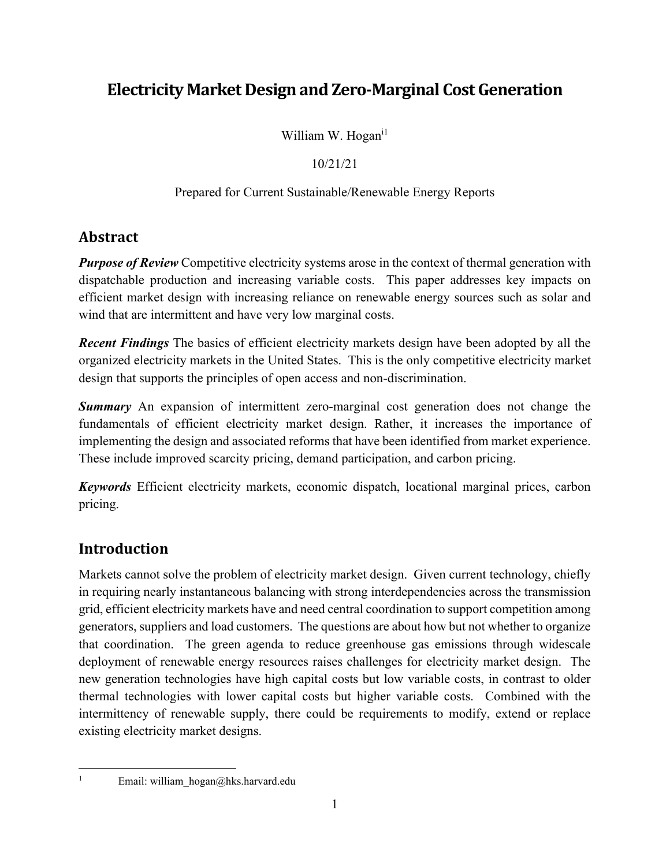# **Electricity Market Designand Zero‐Marginal CostGeneration**

William W. Hogan<sup>il</sup>

#### 10/21/21

#### Prepared for Current Sustainable/Renewable Energy Reports

# **Abstract**

*Purpose of Review* Competitive electricity systems arose in the context of thermal generation with dispatchable production and increasing variable costs. This paper addresses key impacts on efficient market design with increasing reliance on renewable energy sources such as solar and wind that are intermittent and have very low marginal costs.

*Recent Findings* The basics of efficient electricity markets design have been adopted by all the organized electricity markets in the United States. This is the only competitive electricity market design that supports the principles of open access and non-discrimination.

**Summary** An expansion of intermittent zero-marginal cost generation does not change the fundamentals of efficient electricity market design. Rather, it increases the importance of implementing the design and associated reforms that have been identified from market experience. These include improved scarcity pricing, demand participation, and carbon pricing.

*Keywords* Efficient electricity markets, economic dispatch, locational marginal prices, carbon pricing.

# **Introduction**

Markets cannot solve the problem of electricity market design. Given current technology, chiefly in requiring nearly instantaneous balancing with strong interdependencies across the transmission grid, efficient electricity markets have and need central coordination to support competition among generators, suppliers and load customers. The questions are about how but not whether to organize that coordination. The green agenda to reduce greenhouse gas emissions through widescale deployment of renewable energy resources raises challenges for electricity market design. The new generation technologies have high capital costs but low variable costs, in contrast to older thermal technologies with lower capital costs but higher variable costs. Combined with the intermittency of renewable supply, there could be requirements to modify, extend or replace existing electricity market designs.

1

Email: william\_hogan@hks.harvard.edu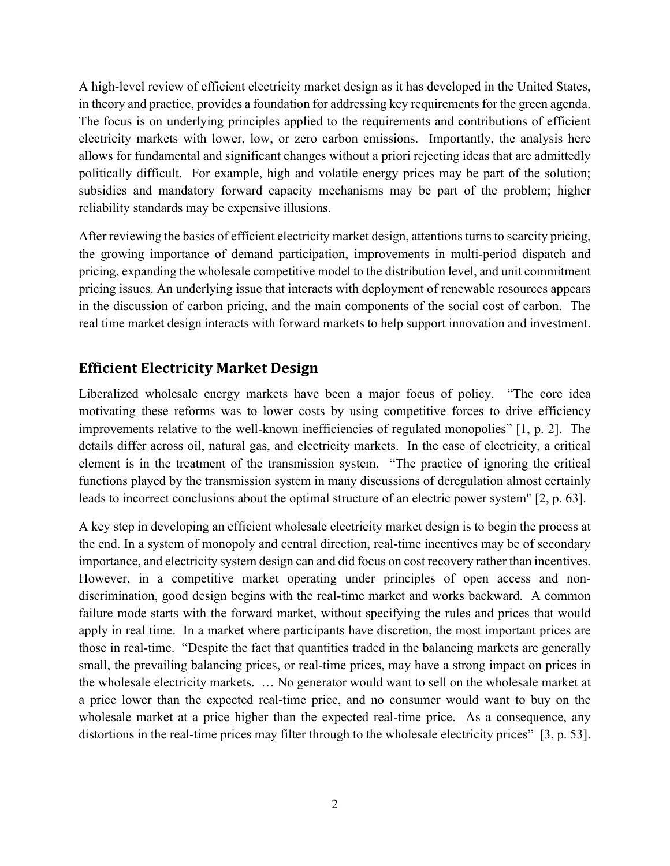A high-level review of efficient electricity market design as it has developed in the United States, in theory and practice, provides a foundation for addressing key requirements for the green agenda. The focus is on underlying principles applied to the requirements and contributions of efficient electricity markets with lower, low, or zero carbon emissions. Importantly, the analysis here allows for fundamental and significant changes without a priori rejecting ideas that are admittedly politically difficult. For example, high and volatile energy prices may be part of the solution; subsidies and mandatory forward capacity mechanisms may be part of the problem; higher reliability standards may be expensive illusions.

After reviewing the basics of efficient electricity market design, attentions turns to scarcity pricing, the growing importance of demand participation, improvements in multi-period dispatch and pricing, expanding the wholesale competitive model to the distribution level, and unit commitment pricing issues. An underlying issue that interacts with deployment of renewable resources appears in the discussion of carbon pricing, and the main components of the social cost of carbon. The real time market design interacts with forward markets to help support innovation and investment.

### **Efficient Electricity Market Design**

Liberalized wholesale energy markets have been a major focus of policy. "The core idea motivating these reforms was to lower costs by using competitive forces to drive efficiency improvements relative to the well-known inefficiencies of regulated monopolies" [1, p. 2]. The details differ across oil, natural gas, and electricity markets. In the case of electricity, a critical element is in the treatment of the transmission system. "The practice of ignoring the critical functions played by the transmission system in many discussions of deregulation almost certainly leads to incorrect conclusions about the optimal structure of an electric power system" [2, p. 63].

A key step in developing an efficient wholesale electricity market design is to begin the process at the end. In a system of monopoly and central direction, real-time incentives may be of secondary importance, and electricity system design can and did focus on cost recovery rather than incentives. However, in a competitive market operating under principles of open access and nondiscrimination, good design begins with the real-time market and works backward. A common failure mode starts with the forward market, without specifying the rules and prices that would apply in real time. In a market where participants have discretion, the most important prices are those in real-time. "Despite the fact that quantities traded in the balancing markets are generally small, the prevailing balancing prices, or real-time prices, may have a strong impact on prices in the wholesale electricity markets. … No generator would want to sell on the wholesale market at a price lower than the expected real-time price, and no consumer would want to buy on the wholesale market at a price higher than the expected real-time price. As a consequence, any distortions in the real-time prices may filter through to the wholesale electricity prices" [3, p. 53].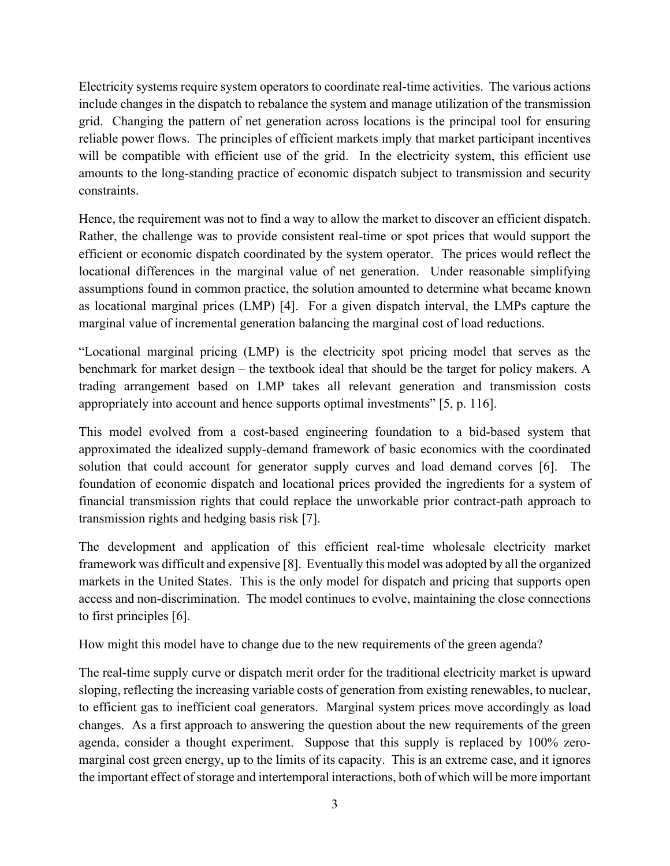Electricity systems require system operators to coordinate real-time activities. The various actions include changes in the dispatch to rebalance the system and manage utilization of the transmission grid. Changing the pattern of net generation across locations is the principal tool for ensuring reliable power flows. The principles of efficient markets imply that market participant incentives will be compatible with efficient use of the grid. In the electricity system, this efficient use amounts to the long-standing practice of economic dispatch subject to transmission and security constraints.

Hence, the requirement was not to find a way to allow the market to discover an efficient dispatch. Rather, the challenge was to provide consistent real-time or spot prices that would support the efficient or economic dispatch coordinated by the system operator. The prices would reflect the locational differences in the marginal value of net generation. Under reasonable simplifying assumptions found in common practice, the solution amounted to determine what became known as locational marginal prices (LMP) [4]. For a given dispatch interval, the LMPs capture the marginal value of incremental generation balancing the marginal cost of load reductions.

"Locational marginal pricing (LMP) is the electricity spot pricing model that serves as the benchmark for market design – the textbook ideal that should be the target for policy makers. A trading arrangement based on LMP takes all relevant generation and transmission costs appropriately into account and hence supports optimal investments" [5, p. 116].

This model evolved from a cost-based engineering foundation to a bid-based system that approximated the idealized supply-demand framework of basic economics with the coordinated solution that could account for generator supply curves and load demand corves [6]. The foundation of economic dispatch and locational prices provided the ingredients for a system of financial transmission rights that could replace the unworkable prior contract-path approach to transmission rights and hedging basis risk [7].

The development and application of this efficient real-time wholesale electricity market framework was difficult and expensive [8]. Eventually this model was adopted by all the organized markets in the United States. This is the only model for dispatch and pricing that supports open access and non-discrimination. The model continues to evolve, maintaining the close connections to first principles [6].

How might this model have to change due to the new requirements of the green agenda?

The real-time supply curve or dispatch merit order for the traditional electricity market is upward sloping, reflecting the increasing variable costs of generation from existing renewables, to nuclear, to efficient gas to inefficient coal generators. Marginal system prices move accordingly as load changes. As a first approach to answering the question about the new requirements of the green agenda, consider a thought experiment. Suppose that this supply is replaced by 100% zeromarginal cost green energy, up to the limits of its capacity. This is an extreme case, and it ignores the important effect of storage and intertemporal interactions, both of which will be more important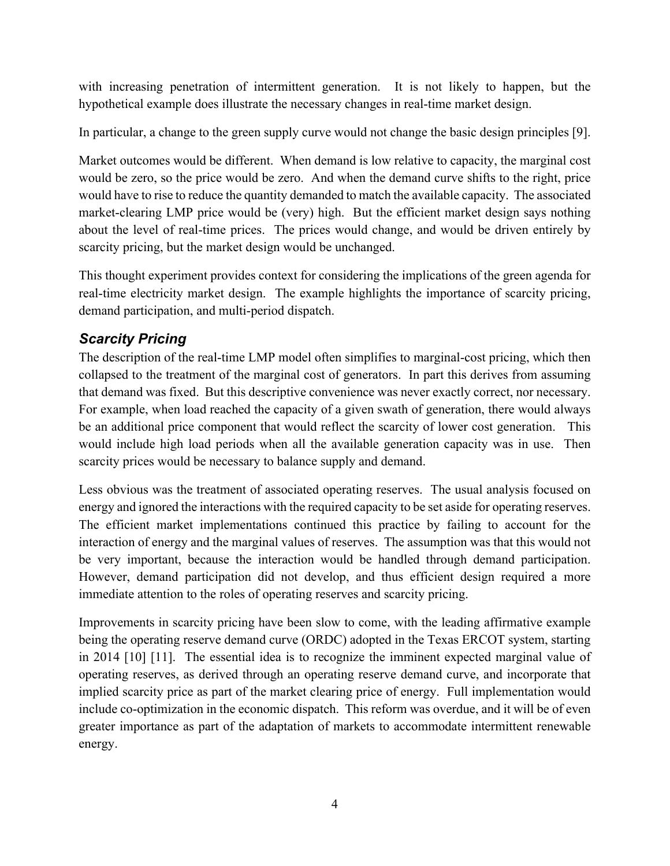with increasing penetration of intermittent generation. It is not likely to happen, but the hypothetical example does illustrate the necessary changes in real-time market design.

In particular, a change to the green supply curve would not change the basic design principles [9].

Market outcomes would be different. When demand is low relative to capacity, the marginal cost would be zero, so the price would be zero. And when the demand curve shifts to the right, price would have to rise to reduce the quantity demanded to match the available capacity. The associated market-clearing LMP price would be (very) high. But the efficient market design says nothing about the level of real-time prices. The prices would change, and would be driven entirely by scarcity pricing, but the market design would be unchanged.

This thought experiment provides context for considering the implications of the green agenda for real-time electricity market design. The example highlights the importance of scarcity pricing, demand participation, and multi-period dispatch.

### *Scarcity Pricing*

The description of the real-time LMP model often simplifies to marginal-cost pricing, which then collapsed to the treatment of the marginal cost of generators. In part this derives from assuming that demand was fixed. But this descriptive convenience was never exactly correct, nor necessary. For example, when load reached the capacity of a given swath of generation, there would always be an additional price component that would reflect the scarcity of lower cost generation. This would include high load periods when all the available generation capacity was in use. Then scarcity prices would be necessary to balance supply and demand.

Less obvious was the treatment of associated operating reserves. The usual analysis focused on energy and ignored the interactions with the required capacity to be set aside for operating reserves. The efficient market implementations continued this practice by failing to account for the interaction of energy and the marginal values of reserves. The assumption was that this would not be very important, because the interaction would be handled through demand participation. However, demand participation did not develop, and thus efficient design required a more immediate attention to the roles of operating reserves and scarcity pricing.

Improvements in scarcity pricing have been slow to come, with the leading affirmative example being the operating reserve demand curve (ORDC) adopted in the Texas ERCOT system, starting in 2014 [10] [11]. The essential idea is to recognize the imminent expected marginal value of operating reserves, as derived through an operating reserve demand curve, and incorporate that implied scarcity price as part of the market clearing price of energy. Full implementation would include co-optimization in the economic dispatch. This reform was overdue, and it will be of even greater importance as part of the adaptation of markets to accommodate intermittent renewable energy.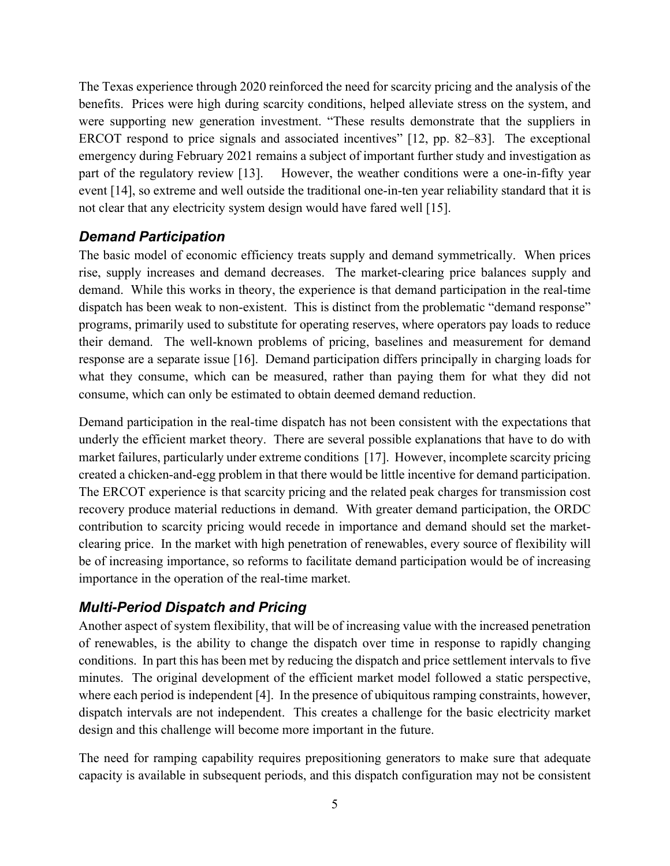The Texas experience through 2020 reinforced the need for scarcity pricing and the analysis of the benefits. Prices were high during scarcity conditions, helped alleviate stress on the system, and were supporting new generation investment. "These results demonstrate that the suppliers in ERCOT respond to price signals and associated incentives" [12, pp. 82–83]. The exceptional emergency during February 2021 remains a subject of important further study and investigation as part of the regulatory review [13]. However, the weather conditions were a one-in-fifty year event [14], so extreme and well outside the traditional one-in-ten year reliability standard that it is not clear that any electricity system design would have fared well [15].

#### *Demand Participation*

The basic model of economic efficiency treats supply and demand symmetrically. When prices rise, supply increases and demand decreases. The market-clearing price balances supply and demand. While this works in theory, the experience is that demand participation in the real-time dispatch has been weak to non-existent. This is distinct from the problematic "demand response" programs, primarily used to substitute for operating reserves, where operators pay loads to reduce their demand. The well-known problems of pricing, baselines and measurement for demand response are a separate issue [16]. Demand participation differs principally in charging loads for what they consume, which can be measured, rather than paying them for what they did not consume, which can only be estimated to obtain deemed demand reduction.

Demand participation in the real-time dispatch has not been consistent with the expectations that underly the efficient market theory. There are several possible explanations that have to do with market failures, particularly under extreme conditions [17]. However, incomplete scarcity pricing created a chicken-and-egg problem in that there would be little incentive for demand participation. The ERCOT experience is that scarcity pricing and the related peak charges for transmission cost recovery produce material reductions in demand. With greater demand participation, the ORDC contribution to scarcity pricing would recede in importance and demand should set the marketclearing price. In the market with high penetration of renewables, every source of flexibility will be of increasing importance, so reforms to facilitate demand participation would be of increasing importance in the operation of the real-time market.

# *Multi-Period Dispatch and Pricing*

Another aspect of system flexibility, that will be of increasing value with the increased penetration of renewables, is the ability to change the dispatch over time in response to rapidly changing conditions. In part this has been met by reducing the dispatch and price settlement intervals to five minutes. The original development of the efficient market model followed a static perspective, where each period is independent [4]. In the presence of ubiquitous ramping constraints, however, dispatch intervals are not independent. This creates a challenge for the basic electricity market design and this challenge will become more important in the future.

The need for ramping capability requires prepositioning generators to make sure that adequate capacity is available in subsequent periods, and this dispatch configuration may not be consistent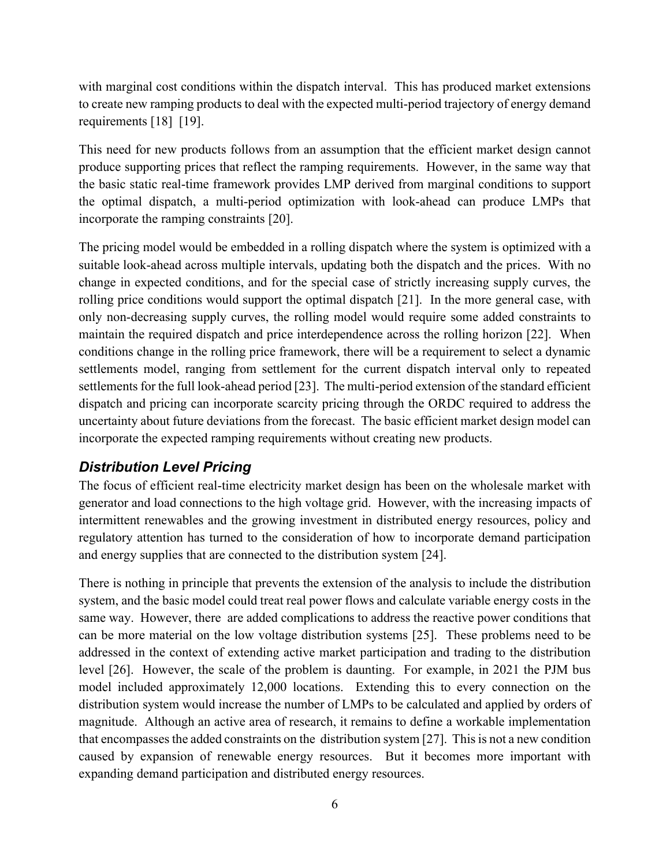with marginal cost conditions within the dispatch interval. This has produced market extensions to create new ramping products to deal with the expected multi-period trajectory of energy demand requirements [18] [19].

This need for new products follows from an assumption that the efficient market design cannot produce supporting prices that reflect the ramping requirements. However, in the same way that the basic static real-time framework provides LMP derived from marginal conditions to support the optimal dispatch, a multi-period optimization with look-ahead can produce LMPs that incorporate the ramping constraints [20].

The pricing model would be embedded in a rolling dispatch where the system is optimized with a suitable look-ahead across multiple intervals, updating both the dispatch and the prices. With no change in expected conditions, and for the special case of strictly increasing supply curves, the rolling price conditions would support the optimal dispatch [21]. In the more general case, with only non-decreasing supply curves, the rolling model would require some added constraints to maintain the required dispatch and price interdependence across the rolling horizon [22]. When conditions change in the rolling price framework, there will be a requirement to select a dynamic settlements model, ranging from settlement for the current dispatch interval only to repeated settlements for the full look-ahead period [23]. The multi-period extension of the standard efficient dispatch and pricing can incorporate scarcity pricing through the ORDC required to address the uncertainty about future deviations from the forecast. The basic efficient market design model can incorporate the expected ramping requirements without creating new products.

#### *Distribution Level Pricing*

The focus of efficient real-time electricity market design has been on the wholesale market with generator and load connections to the high voltage grid. However, with the increasing impacts of intermittent renewables and the growing investment in distributed energy resources, policy and regulatory attention has turned to the consideration of how to incorporate demand participation and energy supplies that are connected to the distribution system [24].

There is nothing in principle that prevents the extension of the analysis to include the distribution system, and the basic model could treat real power flows and calculate variable energy costs in the same way. However, there are added complications to address the reactive power conditions that can be more material on the low voltage distribution systems [25]. These problems need to be addressed in the context of extending active market participation and trading to the distribution level [26]. However, the scale of the problem is daunting. For example, in 2021 the PJM bus model included approximately 12,000 locations. Extending this to every connection on the distribution system would increase the number of LMPs to be calculated and applied by orders of magnitude. Although an active area of research, it remains to define a workable implementation that encompasses the added constraints on the distribution system [27]. This is not a new condition caused by expansion of renewable energy resources. But it becomes more important with expanding demand participation and distributed energy resources.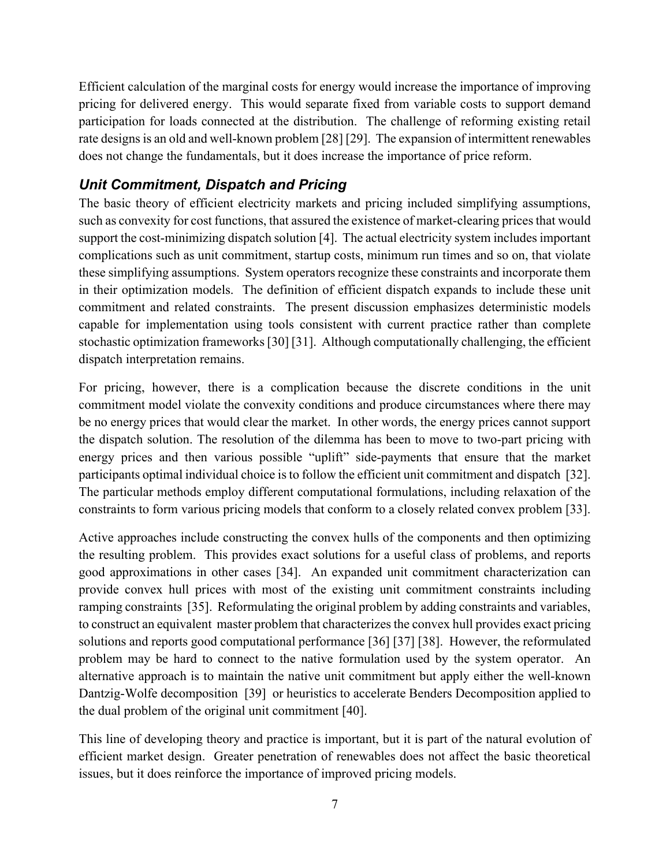Efficient calculation of the marginal costs for energy would increase the importance of improving pricing for delivered energy. This would separate fixed from variable costs to support demand participation for loads connected at the distribution. The challenge of reforming existing retail rate designs is an old and well-known problem [28] [29]. The expansion of intermittent renewables does not change the fundamentals, but it does increase the importance of price reform.

### *Unit Commitment, Dispatch and Pricing*

The basic theory of efficient electricity markets and pricing included simplifying assumptions, such as convexity for cost functions, that assured the existence of market-clearing prices that would support the cost-minimizing dispatch solution [4]. The actual electricity system includes important complications such as unit commitment, startup costs, minimum run times and so on, that violate these simplifying assumptions. System operators recognize these constraints and incorporate them in their optimization models. The definition of efficient dispatch expands to include these unit commitment and related constraints. The present discussion emphasizes deterministic models capable for implementation using tools consistent with current practice rather than complete stochastic optimization frameworks [30] [31]. Although computationally challenging, the efficient dispatch interpretation remains.

For pricing, however, there is a complication because the discrete conditions in the unit commitment model violate the convexity conditions and produce circumstances where there may be no energy prices that would clear the market. In other words, the energy prices cannot support the dispatch solution. The resolution of the dilemma has been to move to two-part pricing with energy prices and then various possible "uplift" side-payments that ensure that the market participants optimal individual choice is to follow the efficient unit commitment and dispatch [32]. The particular methods employ different computational formulations, including relaxation of the constraints to form various pricing models that conform to a closely related convex problem [33].

Active approaches include constructing the convex hulls of the components and then optimizing the resulting problem. This provides exact solutions for a useful class of problems, and reports good approximations in other cases [34]. An expanded unit commitment characterization can provide convex hull prices with most of the existing unit commitment constraints including ramping constraints [35]. Reformulating the original problem by adding constraints and variables, to construct an equivalent master problem that characterizes the convex hull provides exact pricing solutions and reports good computational performance [36] [37] [38]. However, the reformulated problem may be hard to connect to the native formulation used by the system operator. An alternative approach is to maintain the native unit commitment but apply either the well-known Dantzig-Wolfe decomposition [39] or heuristics to accelerate Benders Decomposition applied to the dual problem of the original unit commitment [40].

This line of developing theory and practice is important, but it is part of the natural evolution of efficient market design. Greater penetration of renewables does not affect the basic theoretical issues, but it does reinforce the importance of improved pricing models.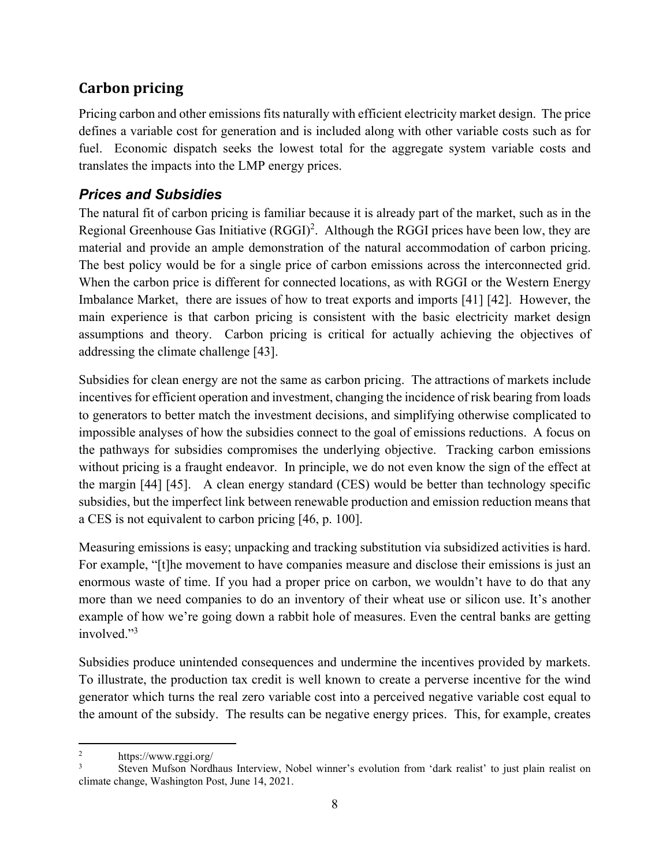# **Carbon pricing**

Pricing carbon and other emissions fits naturally with efficient electricity market design. The price defines a variable cost for generation and is included along with other variable costs such as for fuel. Economic dispatch seeks the lowest total for the aggregate system variable costs and translates the impacts into the LMP energy prices.

### *Prices and Subsidies*

The natural fit of carbon pricing is familiar because it is already part of the market, such as in the Regional Greenhouse Gas Initiative  $(RGGI)^2$ . Although the RGGI prices have been low, they are material and provide an ample demonstration of the natural accommodation of carbon pricing. The best policy would be for a single price of carbon emissions across the interconnected grid. When the carbon price is different for connected locations, as with RGGI or the Western Energy Imbalance Market, there are issues of how to treat exports and imports [41] [42]. However, the main experience is that carbon pricing is consistent with the basic electricity market design assumptions and theory. Carbon pricing is critical for actually achieving the objectives of addressing the climate challenge [43].

Subsidies for clean energy are not the same as carbon pricing. The attractions of markets include incentives for efficient operation and investment, changing the incidence of risk bearing from loads to generators to better match the investment decisions, and simplifying otherwise complicated to impossible analyses of how the subsidies connect to the goal of emissions reductions. A focus on the pathways for subsidies compromises the underlying objective. Tracking carbon emissions without pricing is a fraught endeavor. In principle, we do not even know the sign of the effect at the margin [44] [45]. A clean energy standard (CES) would be better than technology specific subsidies, but the imperfect link between renewable production and emission reduction means that a CES is not equivalent to carbon pricing [46, p. 100].

Measuring emissions is easy; unpacking and tracking substitution via subsidized activities is hard. For example, "[t]he movement to have companies measure and disclose their emissions is just an enormous waste of time. If you had a proper price on carbon, we wouldn't have to do that any more than we need companies to do an inventory of their wheat use or silicon use. It's another example of how we're going down a rabbit hole of measures. Even the central banks are getting involved."<sup>3</sup>

Subsidies produce unintended consequences and undermine the incentives provided by markets. To illustrate, the production tax credit is well known to create a perverse incentive for the wind generator which turns the real zero variable cost into a perceived negative variable cost equal to the amount of the subsidy. The results can be negative energy prices. This, for example, creates

<sup>2</sup> https://www.rggi.org/

<sup>3</sup> Steven Mufson Nordhaus Interview, Nobel winner's evolution from 'dark realist' to just plain realist on climate change, Washington Post, June 14, 2021.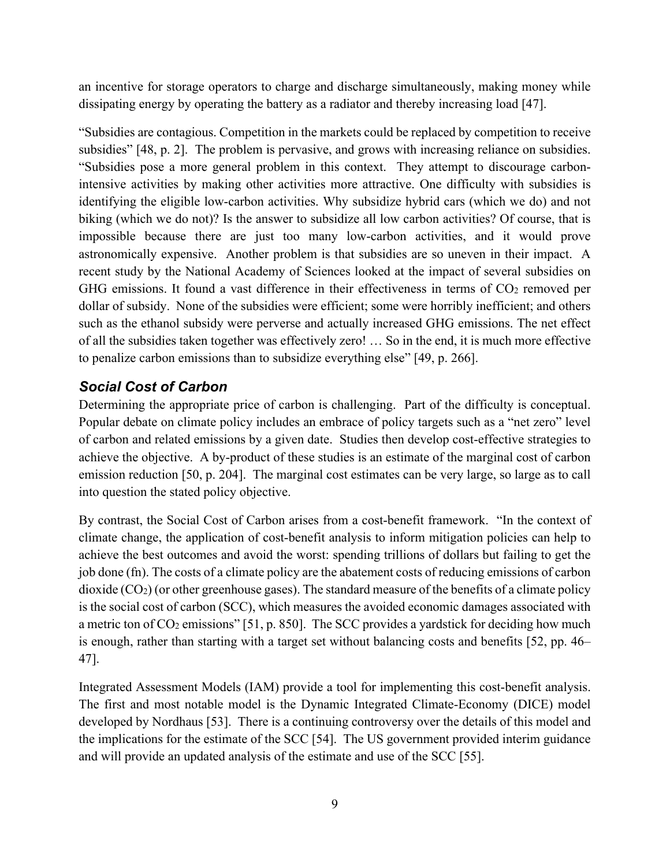an incentive for storage operators to charge and discharge simultaneously, making money while dissipating energy by operating the battery as a radiator and thereby increasing load [47].

"Subsidies are contagious. Competition in the markets could be replaced by competition to receive subsidies" [48, p. 2]. The problem is pervasive, and grows with increasing reliance on subsidies. "Subsidies pose a more general problem in this context. They attempt to discourage carbonintensive activities by making other activities more attractive. One difficulty with subsidies is identifying the eligible low-carbon activities. Why subsidize hybrid cars (which we do) and not biking (which we do not)? Is the answer to subsidize all low carbon activities? Of course, that is impossible because there are just too many low-carbon activities, and it would prove astronomically expensive. Another problem is that subsidies are so uneven in their impact. A recent study by the National Academy of Sciences looked at the impact of several subsidies on GHG emissions. It found a vast difference in their effectiveness in terms of  $CO<sub>2</sub>$  removed per dollar of subsidy. None of the subsidies were efficient; some were horribly inefficient; and others such as the ethanol subsidy were perverse and actually increased GHG emissions. The net effect of all the subsidies taken together was effectively zero! … So in the end, it is much more effective to penalize carbon emissions than to subsidize everything else" [49, p. 266].

### *Social Cost of Carbon*

Determining the appropriate price of carbon is challenging. Part of the difficulty is conceptual. Popular debate on climate policy includes an embrace of policy targets such as a "net zero" level of carbon and related emissions by a given date. Studies then develop cost-effective strategies to achieve the objective. A by-product of these studies is an estimate of the marginal cost of carbon emission reduction [50, p. 204]. The marginal cost estimates can be very large, so large as to call into question the stated policy objective.

By contrast, the Social Cost of Carbon arises from a cost-benefit framework. "In the context of climate change, the application of cost-benefit analysis to inform mitigation policies can help to achieve the best outcomes and avoid the worst: spending trillions of dollars but failing to get the job done (fn). The costs of a climate policy are the abatement costs of reducing emissions of carbon dioxide (CO2) (or other greenhouse gases). The standard measure of the benefits of a climate policy is the social cost of carbon (SCC), which measures the avoided economic damages associated with a metric ton of CO<sub>2</sub> emissions" [51, p. 850]. The SCC provides a yardstick for deciding how much is enough, rather than starting with a target set without balancing costs and benefits [52, pp. 46– 47].

Integrated Assessment Models (IAM) provide a tool for implementing this cost-benefit analysis. The first and most notable model is the Dynamic Integrated Climate-Economy (DICE) model developed by Nordhaus [53]. There is a continuing controversy over the details of this model and the implications for the estimate of the SCC [54]. The US government provided interim guidance and will provide an updated analysis of the estimate and use of the SCC [55].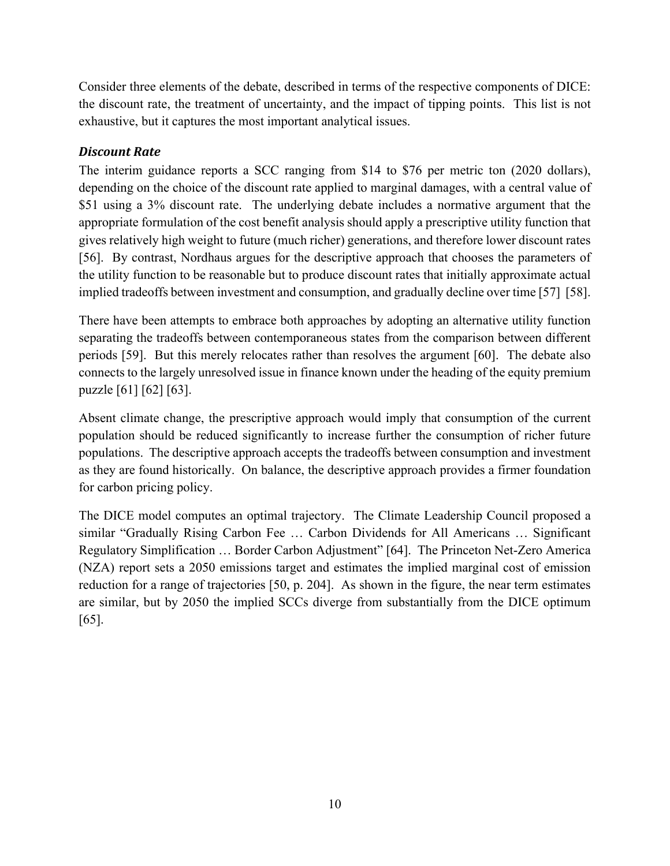Consider three elements of the debate, described in terms of the respective components of DICE: the discount rate, the treatment of uncertainty, and the impact of tipping points. This list is not exhaustive, but it captures the most important analytical issues.

#### *Discount Rate*

The interim guidance reports a SCC ranging from \$14 to \$76 per metric ton (2020 dollars), depending on the choice of the discount rate applied to marginal damages, with a central value of \$51 using a 3% discount rate. The underlying debate includes a normative argument that the appropriate formulation of the cost benefit analysis should apply a prescriptive utility function that gives relatively high weight to future (much richer) generations, and therefore lower discount rates [56]. By contrast, Nordhaus argues for the descriptive approach that chooses the parameters of the utility function to be reasonable but to produce discount rates that initially approximate actual implied tradeoffs between investment and consumption, and gradually decline over time [57] [58].

There have been attempts to embrace both approaches by adopting an alternative utility function separating the tradeoffs between contemporaneous states from the comparison between different periods [59]. But this merely relocates rather than resolves the argument [60]. The debate also connects to the largely unresolved issue in finance known under the heading of the equity premium puzzle [61] [62] [63].

Absent climate change, the prescriptive approach would imply that consumption of the current population should be reduced significantly to increase further the consumption of richer future populations. The descriptive approach accepts the tradeoffs between consumption and investment as they are found historically. On balance, the descriptive approach provides a firmer foundation for carbon pricing policy.

The DICE model computes an optimal trajectory. The Climate Leadership Council proposed a similar "Gradually Rising Carbon Fee … Carbon Dividends for All Americans … Significant Regulatory Simplification … Border Carbon Adjustment" [64]. The Princeton Net-Zero America (NZA) report sets a 2050 emissions target and estimates the implied marginal cost of emission reduction for a range of trajectories [50, p. 204]. As shown in the figure, the near term estimates are similar, but by 2050 the implied SCCs diverge from substantially from the DICE optimum [65].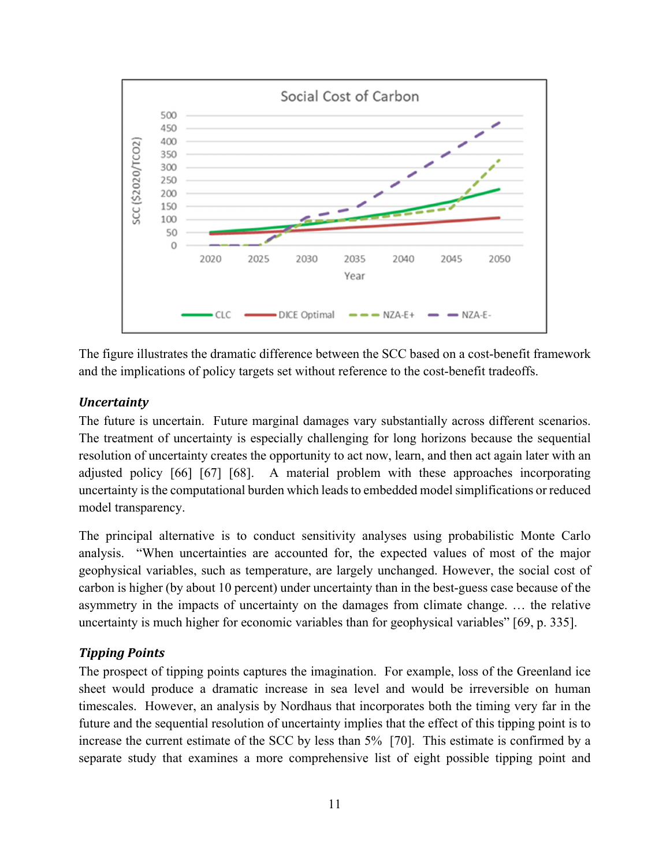

The figure illustrates the dramatic difference between the SCC based on a cost-benefit framework and the implications of policy targets set without reference to the cost-benefit tradeoffs.

#### *Uncertainty*

The future is uncertain. Future marginal damages vary substantially across different scenarios. The treatment of uncertainty is especially challenging for long horizons because the sequential resolution of uncertainty creates the opportunity to act now, learn, and then act again later with an adjusted policy [66] [67] [68]. A material problem with these approaches incorporating uncertainty is the computational burden which leads to embedded model simplifications or reduced model transparency.

The principal alternative is to conduct sensitivity analyses using probabilistic Monte Carlo analysis. "When uncertainties are accounted for, the expected values of most of the major geophysical variables, such as temperature, are largely unchanged. However, the social cost of carbon is higher (by about 10 percent) under uncertainty than in the best-guess case because of the asymmetry in the impacts of uncertainty on the damages from climate change. … the relative uncertainty is much higher for economic variables than for geophysical variables" [69, p. 335].

#### *Tipping Points*

The prospect of tipping points captures the imagination. For example, loss of the Greenland ice sheet would produce a dramatic increase in sea level and would be irreversible on human timescales. However, an analysis by Nordhaus that incorporates both the timing very far in the future and the sequential resolution of uncertainty implies that the effect of this tipping point is to increase the current estimate of the SCC by less than 5% [70]. This estimate is confirmed by a separate study that examines a more comprehensive list of eight possible tipping point and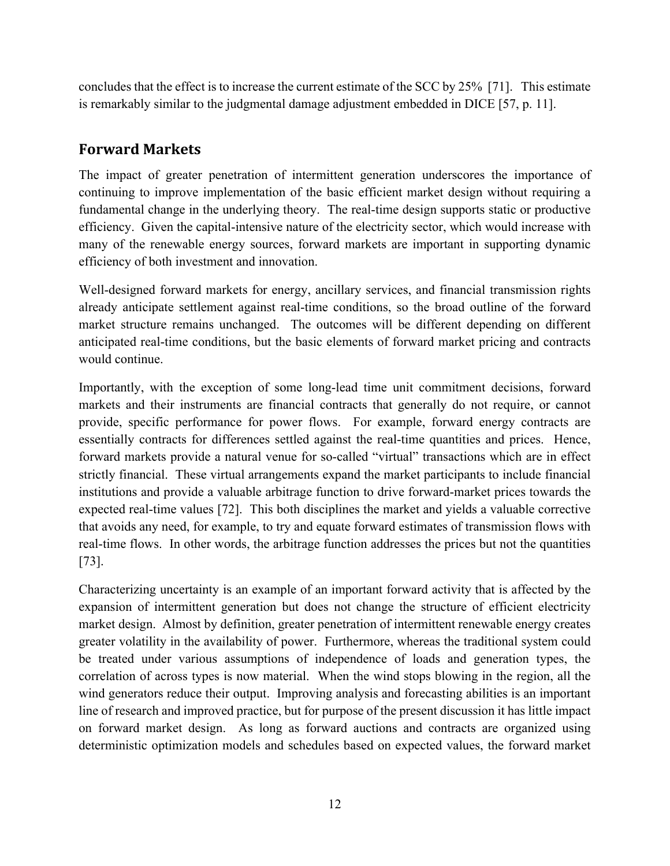concludes that the effect is to increase the current estimate of the SCC by 25% [71]. This estimate is remarkably similar to the judgmental damage adjustment embedded in DICE [57, p. 11].

# **Forward Markets**

The impact of greater penetration of intermittent generation underscores the importance of continuing to improve implementation of the basic efficient market design without requiring a fundamental change in the underlying theory. The real-time design supports static or productive efficiency. Given the capital-intensive nature of the electricity sector, which would increase with many of the renewable energy sources, forward markets are important in supporting dynamic efficiency of both investment and innovation.

Well-designed forward markets for energy, ancillary services, and financial transmission rights already anticipate settlement against real-time conditions, so the broad outline of the forward market structure remains unchanged. The outcomes will be different depending on different anticipated real-time conditions, but the basic elements of forward market pricing and contracts would continue.

Importantly, with the exception of some long-lead time unit commitment decisions, forward markets and their instruments are financial contracts that generally do not require, or cannot provide, specific performance for power flows. For example, forward energy contracts are essentially contracts for differences settled against the real-time quantities and prices. Hence, forward markets provide a natural venue for so-called "virtual" transactions which are in effect strictly financial. These virtual arrangements expand the market participants to include financial institutions and provide a valuable arbitrage function to drive forward-market prices towards the expected real-time values [72]. This both disciplines the market and yields a valuable corrective that avoids any need, for example, to try and equate forward estimates of transmission flows with real-time flows. In other words, the arbitrage function addresses the prices but not the quantities [73].

Characterizing uncertainty is an example of an important forward activity that is affected by the expansion of intermittent generation but does not change the structure of efficient electricity market design. Almost by definition, greater penetration of intermittent renewable energy creates greater volatility in the availability of power. Furthermore, whereas the traditional system could be treated under various assumptions of independence of loads and generation types, the correlation of across types is now material. When the wind stops blowing in the region, all the wind generators reduce their output. Improving analysis and forecasting abilities is an important line of research and improved practice, but for purpose of the present discussion it has little impact on forward market design. As long as forward auctions and contracts are organized using deterministic optimization models and schedules based on expected values, the forward market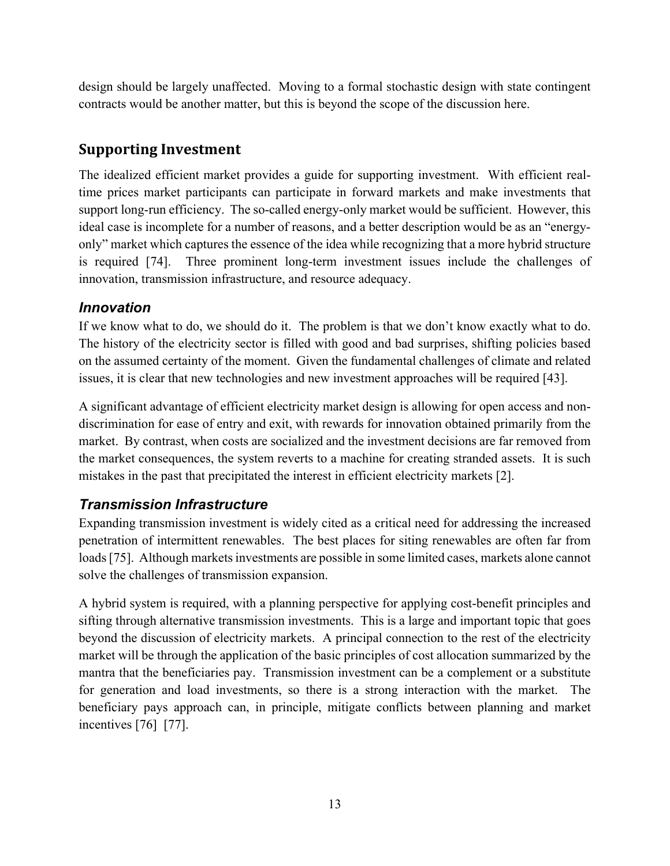design should be largely unaffected. Moving to a formal stochastic design with state contingent contracts would be another matter, but this is beyond the scope of the discussion here.

# **Supporting Investment**

The idealized efficient market provides a guide for supporting investment. With efficient realtime prices market participants can participate in forward markets and make investments that support long-run efficiency. The so-called energy-only market would be sufficient. However, this ideal case is incomplete for a number of reasons, and a better description would be as an "energyonly" market which captures the essence of the idea while recognizing that a more hybrid structure is required [74]. Three prominent long-term investment issues include the challenges of innovation, transmission infrastructure, and resource adequacy.

#### *Innovation*

If we know what to do, we should do it. The problem is that we don't know exactly what to do. The history of the electricity sector is filled with good and bad surprises, shifting policies based on the assumed certainty of the moment. Given the fundamental challenges of climate and related issues, it is clear that new technologies and new investment approaches will be required [43].

A significant advantage of efficient electricity market design is allowing for open access and nondiscrimination for ease of entry and exit, with rewards for innovation obtained primarily from the market. By contrast, when costs are socialized and the investment decisions are far removed from the market consequences, the system reverts to a machine for creating stranded assets. It is such mistakes in the past that precipitated the interest in efficient electricity markets [2].

### *Transmission Infrastructure*

Expanding transmission investment is widely cited as a critical need for addressing the increased penetration of intermittent renewables. The best places for siting renewables are often far from loads [75]. Although markets investments are possible in some limited cases, markets alone cannot solve the challenges of transmission expansion.

A hybrid system is required, with a planning perspective for applying cost-benefit principles and sifting through alternative transmission investments. This is a large and important topic that goes beyond the discussion of electricity markets. A principal connection to the rest of the electricity market will be through the application of the basic principles of cost allocation summarized by the mantra that the beneficiaries pay. Transmission investment can be a complement or a substitute for generation and load investments, so there is a strong interaction with the market. The beneficiary pays approach can, in principle, mitigate conflicts between planning and market incentives [76] [77].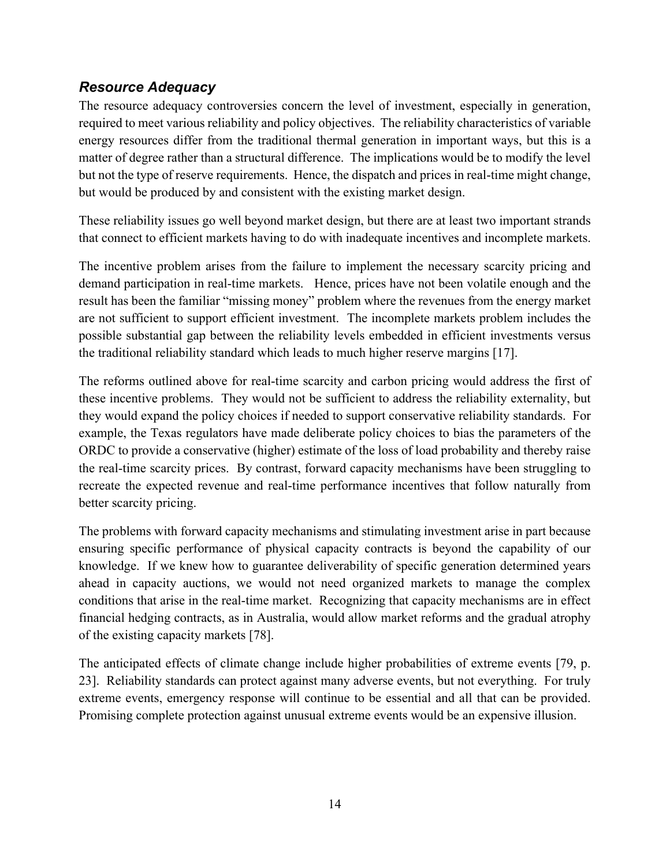### *Resource Adequacy*

The resource adequacy controversies concern the level of investment, especially in generation, required to meet various reliability and policy objectives. The reliability characteristics of variable energy resources differ from the traditional thermal generation in important ways, but this is a matter of degree rather than a structural difference. The implications would be to modify the level but not the type of reserve requirements. Hence, the dispatch and prices in real-time might change, but would be produced by and consistent with the existing market design.

These reliability issues go well beyond market design, but there are at least two important strands that connect to efficient markets having to do with inadequate incentives and incomplete markets.

The incentive problem arises from the failure to implement the necessary scarcity pricing and demand participation in real-time markets. Hence, prices have not been volatile enough and the result has been the familiar "missing money" problem where the revenues from the energy market are not sufficient to support efficient investment. The incomplete markets problem includes the possible substantial gap between the reliability levels embedded in efficient investments versus the traditional reliability standard which leads to much higher reserve margins [17].

The reforms outlined above for real-time scarcity and carbon pricing would address the first of these incentive problems. They would not be sufficient to address the reliability externality, but they would expand the policy choices if needed to support conservative reliability standards. For example, the Texas regulators have made deliberate policy choices to bias the parameters of the ORDC to provide a conservative (higher) estimate of the loss of load probability and thereby raise the real-time scarcity prices. By contrast, forward capacity mechanisms have been struggling to recreate the expected revenue and real-time performance incentives that follow naturally from better scarcity pricing.

The problems with forward capacity mechanisms and stimulating investment arise in part because ensuring specific performance of physical capacity contracts is beyond the capability of our knowledge. If we knew how to guarantee deliverability of specific generation determined years ahead in capacity auctions, we would not need organized markets to manage the complex conditions that arise in the real-time market. Recognizing that capacity mechanisms are in effect financial hedging contracts, as in Australia, would allow market reforms and the gradual atrophy of the existing capacity markets [78].

The anticipated effects of climate change include higher probabilities of extreme events [79, p. 23]. Reliability standards can protect against many adverse events, but not everything. For truly extreme events, emergency response will continue to be essential and all that can be provided. Promising complete protection against unusual extreme events would be an expensive illusion.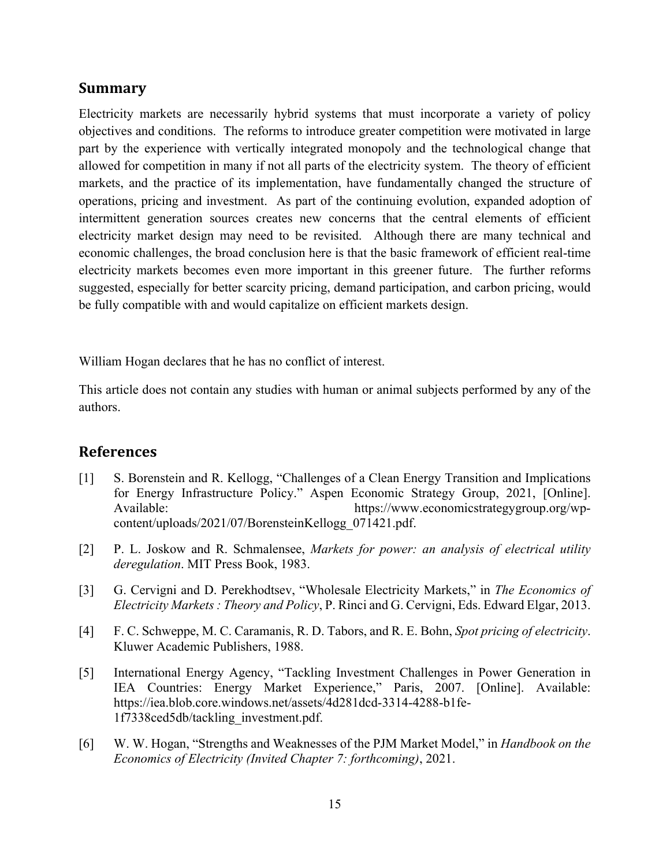#### **Summary**

Electricity markets are necessarily hybrid systems that must incorporate a variety of policy objectives and conditions. The reforms to introduce greater competition were motivated in large part by the experience with vertically integrated monopoly and the technological change that allowed for competition in many if not all parts of the electricity system. The theory of efficient markets, and the practice of its implementation, have fundamentally changed the structure of operations, pricing and investment. As part of the continuing evolution, expanded adoption of intermittent generation sources creates new concerns that the central elements of efficient electricity market design may need to be revisited. Although there are many technical and economic challenges, the broad conclusion here is that the basic framework of efficient real-time electricity markets becomes even more important in this greener future. The further reforms suggested, especially for better scarcity pricing, demand participation, and carbon pricing, would be fully compatible with and would capitalize on efficient markets design.

William Hogan declares that he has no conflict of interest.

This article does not contain any studies with human or animal subjects performed by any of the authors.

#### **References**

- [1] S. Borenstein and R. Kellogg, "Challenges of a Clean Energy Transition and Implications for Energy Infrastructure Policy." Aspen Economic Strategy Group, 2021, [Online]. Available: https://www.economicstrategygroup.org/wpcontent/uploads/2021/07/BorensteinKellogg\_071421.pdf.
- [2] P. L. Joskow and R. Schmalensee, *Markets for power: an analysis of electrical utility deregulation*. MIT Press Book, 1983.
- [3] G. Cervigni and D. Perekhodtsev, "Wholesale Electricity Markets," in *The Economics of Electricity Markets : Theory and Policy*, P. Rinci and G. Cervigni, Eds. Edward Elgar, 2013.
- [4] F. C. Schweppe, M. C. Caramanis, R. D. Tabors, and R. E. Bohn, *Spot pricing of electricity*. Kluwer Academic Publishers, 1988.
- [5] International Energy Agency, "Tackling Investment Challenges in Power Generation in IEA Countries: Energy Market Experience," Paris, 2007. [Online]. Available: https://iea.blob.core.windows.net/assets/4d281dcd-3314-4288-b1fe-1f7338ced5db/tackling\_investment.pdf.
- [6] W. W. Hogan, "Strengths and Weaknesses of the PJM Market Model," in *Handbook on the Economics of Electricity (Invited Chapter 7: forthcoming)*, 2021.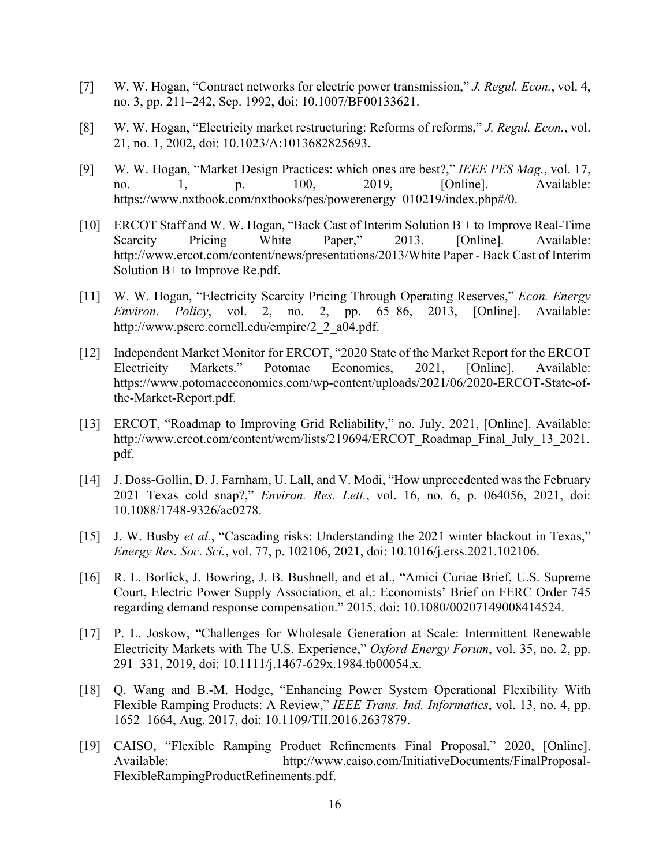- [7] W. W. Hogan, "Contract networks for electric power transmission," *J. Regul. Econ.*, vol. 4, no. 3, pp. 211–242, Sep. 1992, doi: 10.1007/BF00133621.
- [8] W. W. Hogan, "Electricity market restructuring: Reforms of reforms," *J. Regul. Econ.*, vol. 21, no. 1, 2002, doi: 10.1023/A:1013682825693.
- [9] W. W. Hogan, "Market Design Practices: which ones are best?," *IEEE PES Mag.*, vol. 17, no. 1, p. 100, 2019, [Online]. Available: https://www.nxtbook.com/nxtbooks/pes/powerenergy\_010219/index.php#/0.
- [10] ERCOT Staff and W. W. Hogan, "Back Cast of Interim Solution B + to Improve Real-Time Scarcity Pricing White Paper," 2013. [Online]. Available: http://www.ercot.com/content/news/presentations/2013/White Paper - Back Cast of Interim Solution  $B<sup>+</sup>$  to Improve Re.pdf.
- [11] W. W. Hogan, "Electricity Scarcity Pricing Through Operating Reserves," *Econ. Energy Environ. Policy*, vol. 2, no. 2, pp. 65–86, 2013, [Online]. Available: http://www.pserc.cornell.edu/empire/2\_2\_a04.pdf.
- [12] Independent Market Monitor for ERCOT, "2020 State of the Market Report for the ERCOT Electricity Markets." Potomac Economics, 2021, [Online]. Available: https://www.potomaceconomics.com/wp-content/uploads/2021/06/2020-ERCOT-State-ofthe-Market-Report.pdf.
- [13] ERCOT, "Roadmap to Improving Grid Reliability," no. July. 2021, [Online]. Available: http://www.ercot.com/content/wcm/lists/219694/ERCOT\_Roadmap\_Final\_July\_13\_2021. pdf.
- [14] J. Doss-Gollin, D. J. Farnham, U. Lall, and V. Modi, "How unprecedented was the February 2021 Texas cold snap?," *Environ. Res. Lett.*, vol. 16, no. 6, p. 064056, 2021, doi: 10.1088/1748-9326/ac0278.
- [15] J. W. Busby *et al.*, "Cascading risks: Understanding the 2021 winter blackout in Texas," *Energy Res. Soc. Sci.*, vol. 77, p. 102106, 2021, doi: 10.1016/j.erss.2021.102106.
- [16] R. L. Borlick, J. Bowring, J. B. Bushnell, and et al., "Amici Curiae Brief, U.S. Supreme Court, Electric Power Supply Association, et al.: Economists' Brief on FERC Order 745 regarding demand response compensation." 2015, doi: 10.1080/00207149008414524.
- [17] P. L. Joskow, "Challenges for Wholesale Generation at Scale: Intermittent Renewable Electricity Markets with The U.S. Experience," *Oxford Energy Forum*, vol. 35, no. 2, pp. 291–331, 2019, doi: 10.1111/j.1467-629x.1984.tb00054.x.
- [18] Q. Wang and B.-M. Hodge, "Enhancing Power System Operational Flexibility With Flexible Ramping Products: A Review," *IEEE Trans. Ind. Informatics*, vol. 13, no. 4, pp. 1652–1664, Aug. 2017, doi: 10.1109/TII.2016.2637879.
- [19] CAISO, "Flexible Ramping Product Refinements Final Proposal." 2020, [Online]. Available: http://www.caiso.com/InitiativeDocuments/FinalProposal-FlexibleRampingProductRefinements.pdf.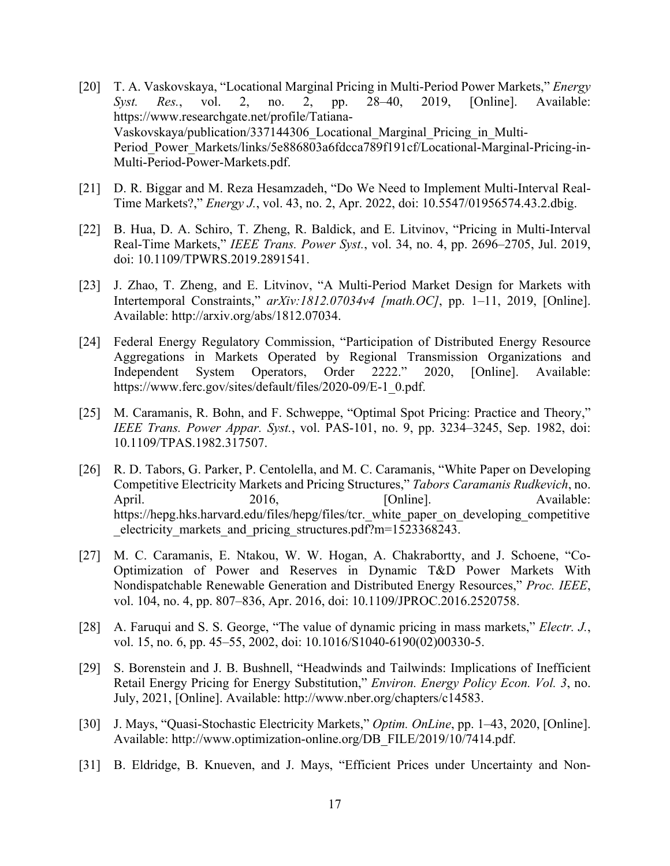- [20] T. A. Vaskovskaya, "Locational Marginal Pricing in Multi-Period Power Markets," *Energy Syst. Res.*, vol. 2, no. 2, pp. 28–40, 2019, [Online]. Available: https://www.researchgate.net/profile/Tatiana-Vaskovskaya/publication/337144306\_Locational\_Marginal\_Pricing\_in\_Multi-Period Power Markets/links/5e886803a6fdcca789f191cf/Locational-Marginal-Pricing-in-Multi-Period-Power-Markets.pdf.
- [21] D. R. Biggar and M. Reza Hesamzadeh, "Do We Need to Implement Multi-Interval Real-Time Markets?," *Energy J.*, vol. 43, no. 2, Apr. 2022, doi: 10.5547/01956574.43.2.dbig.
- [22] B. Hua, D. A. Schiro, T. Zheng, R. Baldick, and E. Litvinov, "Pricing in Multi-Interval Real-Time Markets," *IEEE Trans. Power Syst.*, vol. 34, no. 4, pp. 2696–2705, Jul. 2019, doi: 10.1109/TPWRS.2019.2891541.
- [23] J. Zhao, T. Zheng, and E. Litvinov, "A Multi-Period Market Design for Markets with Intertemporal Constraints," *arXiv:1812.07034v4 [math.OC]*, pp. 1–11, 2019, [Online]. Available: http://arxiv.org/abs/1812.07034.
- [24] Federal Energy Regulatory Commission, "Participation of Distributed Energy Resource Aggregations in Markets Operated by Regional Transmission Organizations and Independent System Operators, Order 2222." 2020, [Online]. Available: https://www.ferc.gov/sites/default/files/2020-09/E-1\_0.pdf.
- [25] M. Caramanis, R. Bohn, and F. Schweppe, "Optimal Spot Pricing: Practice and Theory," *IEEE Trans. Power Appar. Syst.*, vol. PAS-101, no. 9, pp. 3234–3245, Sep. 1982, doi: 10.1109/TPAS.1982.317507.
- [26] R. D. Tabors, G. Parker, P. Centolella, and M. C. Caramanis, "White Paper on Developing Competitive Electricity Markets and Pricing Structures," *Tabors Caramanis Rudkevich*, no. April. 2016, 2016, [Online]. Available: https://hepg.hks.harvard.edu/files/hepg/files/tcr. white paper on developing competitive electricity markets and pricing structures.pdf?m=1523368243.
- [27] M. C. Caramanis, E. Ntakou, W. W. Hogan, A. Chakrabortty, and J. Schoene, "Co-Optimization of Power and Reserves in Dynamic T&D Power Markets With Nondispatchable Renewable Generation and Distributed Energy Resources," *Proc. IEEE*, vol. 104, no. 4, pp. 807–836, Apr. 2016, doi: 10.1109/JPROC.2016.2520758.
- [28] A. Faruqui and S. S. George, "The value of dynamic pricing in mass markets," *Electr. J.*, vol. 15, no. 6, pp. 45–55, 2002, doi: 10.1016/S1040-6190(02)00330-5.
- [29] S. Borenstein and J. B. Bushnell, "Headwinds and Tailwinds: Implications of Inefficient Retail Energy Pricing for Energy Substitution," *Environ. Energy Policy Econ. Vol. 3*, no. July, 2021, [Online]. Available: http://www.nber.org/chapters/c14583.
- [30] J. Mays, "Quasi-Stochastic Electricity Markets," *Optim. OnLine*, pp. 1–43, 2020, [Online]. Available: http://www.optimization-online.org/DB\_FILE/2019/10/7414.pdf.
- [31] B. Eldridge, B. Knueven, and J. Mays, "Efficient Prices under Uncertainty and Non-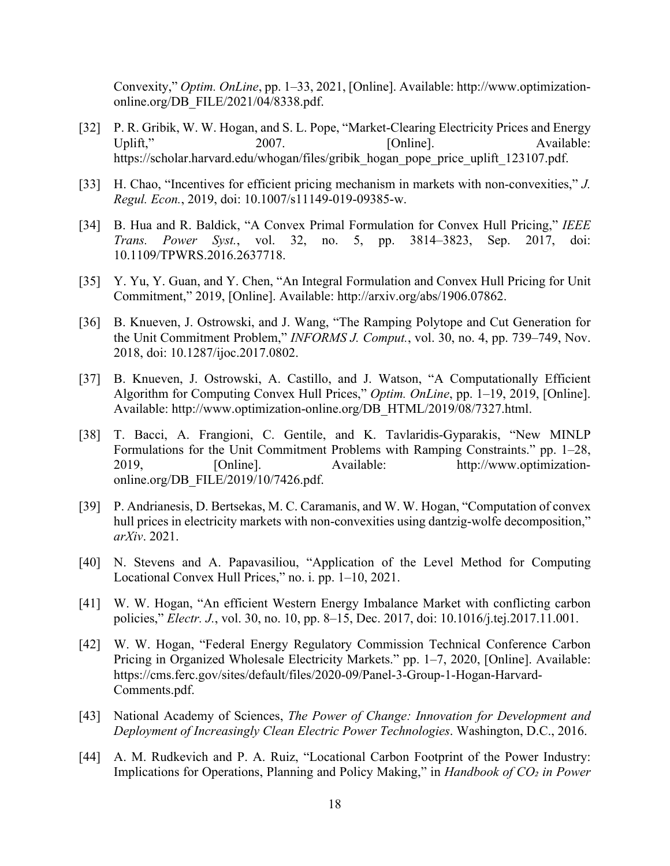Convexity," *Optim. OnLine*, pp. 1–33, 2021, [Online]. Available: http://www.optimizationonline.org/DB\_FILE/2021/04/8338.pdf.

- [32] P. R. Gribik, W. W. Hogan, and S. L. Pope, "Market-Clearing Electricity Prices and Energy Uplift," 2007. [Online]. Available: https://scholar.harvard.edu/whogan/files/gribik\_hogan\_pope\_price\_uplift\_123107.pdf.
- [33] H. Chao, "Incentives for efficient pricing mechanism in markets with non-convexities," *J. Regul. Econ.*, 2019, doi: 10.1007/s11149-019-09385-w.
- [34] B. Hua and R. Baldick, "A Convex Primal Formulation for Convex Hull Pricing," *IEEE Trans. Power Syst.*, vol. 32, no. 5, pp. 3814–3823, Sep. 2017, doi: 10.1109/TPWRS.2016.2637718.
- [35] Y. Yu, Y. Guan, and Y. Chen, "An Integral Formulation and Convex Hull Pricing for Unit Commitment," 2019, [Online]. Available: http://arxiv.org/abs/1906.07862.
- [36] B. Knueven, J. Ostrowski, and J. Wang, "The Ramping Polytope and Cut Generation for the Unit Commitment Problem," *INFORMS J. Comput.*, vol. 30, no. 4, pp. 739–749, Nov. 2018, doi: 10.1287/ijoc.2017.0802.
- [37] B. Knueven, J. Ostrowski, A. Castillo, and J. Watson, "A Computationally Efficient Algorithm for Computing Convex Hull Prices," *Optim. OnLine*, pp. 1–19, 2019, [Online]. Available: http://www.optimization-online.org/DB\_HTML/2019/08/7327.html.
- [38] T. Bacci, A. Frangioni, C. Gentile, and K. Tavlaridis-Gyparakis, "New MINLP Formulations for the Unit Commitment Problems with Ramping Constraints." pp. 1–28, 2019, [Online]. Available: http://www.optimizationonline.org/DB\_FILE/2019/10/7426.pdf.
- [39] P. Andrianesis, D. Bertsekas, M. C. Caramanis, and W. W. Hogan, "Computation of convex hull prices in electricity markets with non-convexities using dantzig-wolfe decomposition," *arXiv*. 2021.
- [40] N. Stevens and A. Papavasiliou, "Application of the Level Method for Computing Locational Convex Hull Prices," no. i. pp. 1–10, 2021.
- [41] W. W. Hogan, "An efficient Western Energy Imbalance Market with conflicting carbon policies," *Electr. J.*, vol. 30, no. 10, pp. 8–15, Dec. 2017, doi: 10.1016/j.tej.2017.11.001.
- [42] W. W. Hogan, "Federal Energy Regulatory Commission Technical Conference Carbon Pricing in Organized Wholesale Electricity Markets." pp. 1–7, 2020, [Online]. Available: https://cms.ferc.gov/sites/default/files/2020-09/Panel-3-Group-1-Hogan-Harvard-Comments.pdf.
- [43] National Academy of Sciences, *The Power of Change: Innovation for Development and Deployment of Increasingly Clean Electric Power Technologies*. Washington, D.C., 2016.
- [44] A. M. Rudkevich and P. A. Ruiz, "Locational Carbon Footprint of the Power Industry: Implications for Operations, Planning and Policy Making," in *Handbook of CO₂ in Power*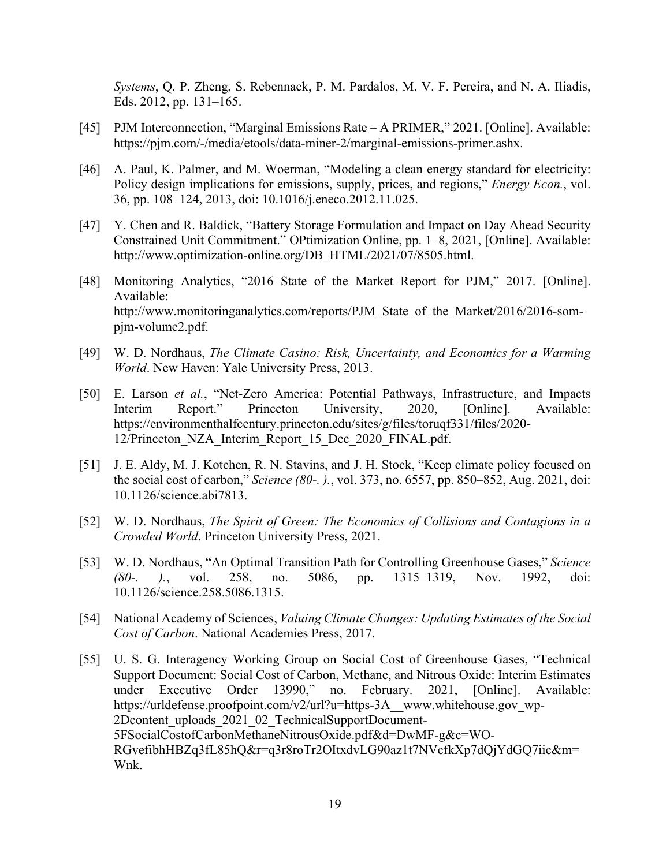*Systems*, Q. P. Zheng, S. Rebennack, P. M. Pardalos, M. V. F. Pereira, and N. A. Iliadis, Eds. 2012, pp. 131–165.

- [45] PJM Interconnection, "Marginal Emissions Rate A PRIMER," 2021. [Online]. Available: https://pjm.com/-/media/etools/data-miner-2/marginal-emissions-primer.ashx.
- [46] A. Paul, K. Palmer, and M. Woerman, "Modeling a clean energy standard for electricity: Policy design implications for emissions, supply, prices, and regions," *Energy Econ.*, vol. 36, pp. 108–124, 2013, doi: 10.1016/j.eneco.2012.11.025.
- [47] Y. Chen and R. Baldick, "Battery Storage Formulation and Impact on Day Ahead Security Constrained Unit Commitment." OPtimization Online, pp. 1–8, 2021, [Online]. Available: http://www.optimization-online.org/DB\_HTML/2021/07/8505.html.
- [48] Monitoring Analytics, "2016 State of the Market Report for PJM," 2017. [Online]. Available: http://www.monitoringanalytics.com/reports/PJM\_State\_of\_the\_Market/2016/2016-sompjm-volume2.pdf.
- [49] W. D. Nordhaus, *The Climate Casino: Risk, Uncertainty, and Economics for a Warming World*. New Haven: Yale University Press, 2013.
- [50] E. Larson *et al.*, "Net-Zero America: Potential Pathways, Infrastructure, and Impacts Interim Report." Princeton University, 2020, [Online]. Available: https://environmenthalfcentury.princeton.edu/sites/g/files/toruqf331/files/2020- 12/Princeton\_NZA\_Interim\_Report\_15\_Dec\_2020\_FINAL.pdf.
- [51] J. E. Aldy, M. J. Kotchen, R. N. Stavins, and J. H. Stock, "Keep climate policy focused on the social cost of carbon," *Science (80-. ).*, vol. 373, no. 6557, pp. 850–852, Aug. 2021, doi: 10.1126/science.abi7813.
- [52] W. D. Nordhaus, *The Spirit of Green: The Economics of Collisions and Contagions in a Crowded World*. Princeton University Press, 2021.
- [53] W. D. Nordhaus, "An Optimal Transition Path for Controlling Greenhouse Gases," *Science (80-. ).*, vol. 258, no. 5086, pp. 1315–1319, Nov. 1992, doi: 10.1126/science.258.5086.1315.
- [54] National Academy of Sciences, *Valuing Climate Changes: Updating Estimates of the Social Cost of Carbon*. National Academies Press, 2017.
- [55] U. S. G. Interagency Working Group on Social Cost of Greenhouse Gases, "Technical Support Document: Social Cost of Carbon, Methane, and Nitrous Oxide: Interim Estimates under Executive Order 13990," no. February. 2021, [Online]. Available: https://urldefense.proofpoint.com/v2/url?u=https-3A\_\_www.whitehouse.gov\_wp-2Dcontent\_uploads\_2021\_02\_TechnicalSupportDocument-5FSocialCostofCarbonMethaneNitrousOxide.pdf&d=DwMF-g&c=WO-RGvefibhHBZq3fL85hQ&r=q3r8roTr2OItxdvLG90az1t7NVcfkXp7dQjYdGQ7iic&m= Wnk.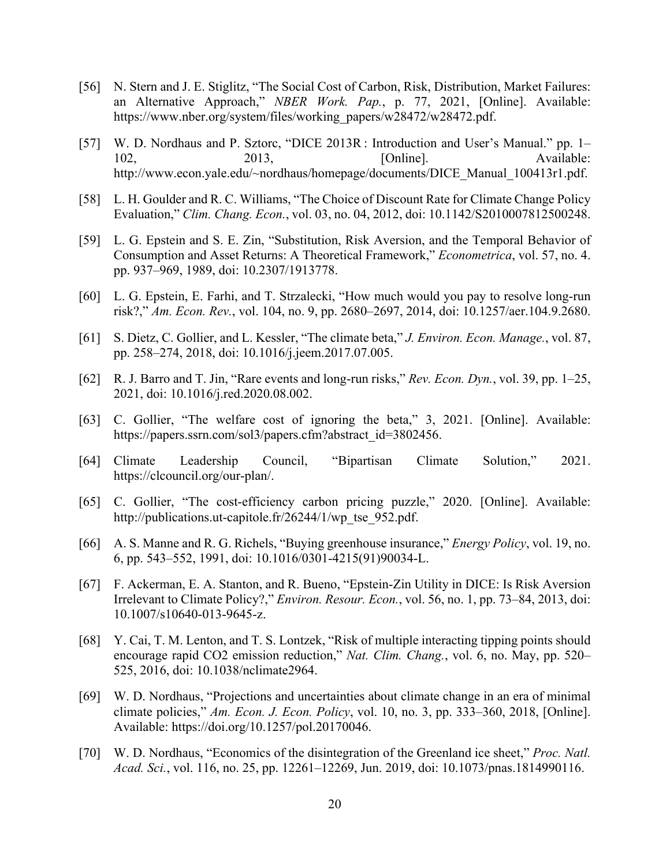- [56] N. Stern and J. E. Stiglitz, "The Social Cost of Carbon, Risk, Distribution, Market Failures: an Alternative Approach," *NBER Work. Pap.*, p. 77, 2021, [Online]. Available: https://www.nber.org/system/files/working\_papers/w28472/w28472.pdf.
- [57] W. D. Nordhaus and P. Sztorc, "DICE 2013R : Introduction and User's Manual." pp. 1– 102, 2013, 2013, [Online]. Available: http://www.econ.yale.edu/~nordhaus/homepage/documents/DICE\_Manual\_100413r1.pdf.
- [58] L. H. Goulder and R. C. Williams, "The Choice of Discount Rate for Climate Change Policy Evaluation," *Clim. Chang. Econ.*, vol. 03, no. 04, 2012, doi: 10.1142/S2010007812500248.
- [59] L. G. Epstein and S. E. Zin, "Substitution, Risk Aversion, and the Temporal Behavior of Consumption and Asset Returns: A Theoretical Framework," *Econometrica*, vol. 57, no. 4. pp. 937–969, 1989, doi: 10.2307/1913778.
- [60] L. G. Epstein, E. Farhi, and T. Strzalecki, "How much would you pay to resolve long-run risk?," *Am. Econ. Rev.*, vol. 104, no. 9, pp. 2680–2697, 2014, doi: 10.1257/aer.104.9.2680.
- [61] S. Dietz, C. Gollier, and L. Kessler, "The climate beta," *J. Environ. Econ. Manage.*, vol. 87, pp. 258–274, 2018, doi: 10.1016/j.jeem.2017.07.005.
- [62] R. J. Barro and T. Jin, "Rare events and long-run risks," *Rev. Econ. Dyn.*, vol. 39, pp. 1–25, 2021, doi: 10.1016/j.red.2020.08.002.
- [63] C. Gollier, "The welfare cost of ignoring the beta," 3, 2021. [Online]. Available: https://papers.ssrn.com/sol3/papers.cfm?abstract\_id=3802456.
- [64] Climate Leadership Council, "Bipartisan Climate Solution," 2021. https://clcouncil.org/our-plan/.
- [65] C. Gollier, "The cost-efficiency carbon pricing puzzle," 2020. [Online]. Available: http://publications.ut-capitole.fr/26244/1/wp\_tse\_952.pdf.
- [66] A. S. Manne and R. G. Richels, "Buying greenhouse insurance," *Energy Policy*, vol. 19, no. 6, pp. 543–552, 1991, doi: 10.1016/0301-4215(91)90034-L.
- [67] F. Ackerman, E. A. Stanton, and R. Bueno, "Epstein-Zin Utility in DICE: Is Risk Aversion Irrelevant to Climate Policy?," *Environ. Resour. Econ.*, vol. 56, no. 1, pp. 73–84, 2013, doi: 10.1007/s10640-013-9645-z.
- [68] Y. Cai, T. M. Lenton, and T. S. Lontzek, "Risk of multiple interacting tipping points should encourage rapid CO2 emission reduction," *Nat. Clim. Chang.*, vol. 6, no. May, pp. 520– 525, 2016, doi: 10.1038/nclimate2964.
- [69] W. D. Nordhaus, "Projections and uncertainties about climate change in an era of minimal climate policies," *Am. Econ. J. Econ. Policy*, vol. 10, no. 3, pp. 333–360, 2018, [Online]. Available: https://doi.org/10.1257/pol.20170046.
- [70] W. D. Nordhaus, "Economics of the disintegration of the Greenland ice sheet," *Proc. Natl. Acad. Sci.*, vol. 116, no. 25, pp. 12261–12269, Jun. 2019, doi: 10.1073/pnas.1814990116.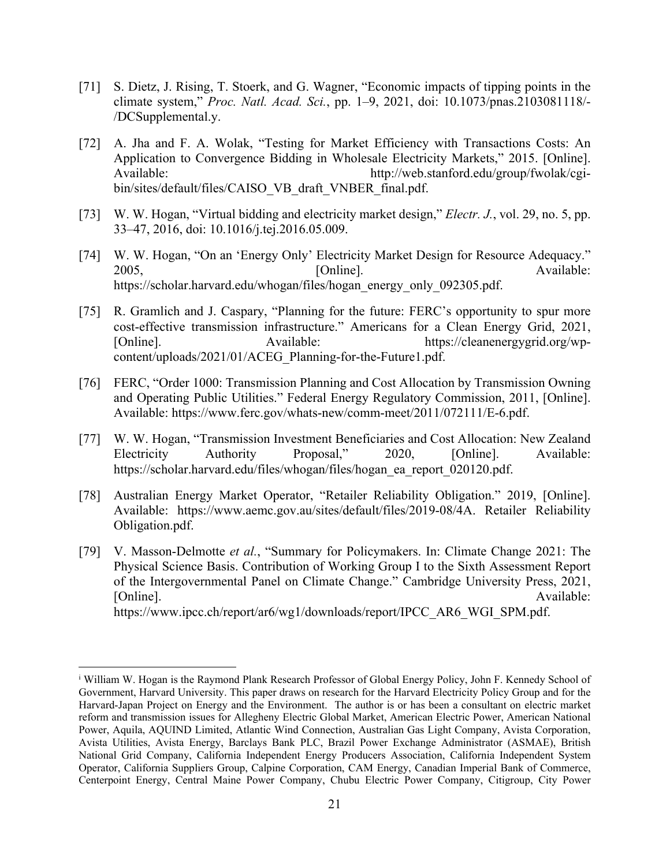- [71] S. Dietz, J. Rising, T. Stoerk, and G. Wagner, "Economic impacts of tipping points in the climate system," *Proc. Natl. Acad. Sci.*, pp. 1–9, 2021, doi: 10.1073/pnas.2103081118/- /DCSupplemental.y.
- [72] A. Jha and F. A. Wolak, "Testing for Market Efficiency with Transactions Costs: An Application to Convergence Bidding in Wholesale Electricity Markets," 2015. [Online]. Available: http://web.stanford.edu/group/fwolak/cgibin/sites/default/files/CAISO\_VB\_draft\_VNBER\_final.pdf.
- [73] W. W. Hogan, "Virtual bidding and electricity market design," *Electr. J.*, vol. 29, no. 5, pp. 33–47, 2016, doi: 10.1016/j.tej.2016.05.009.
- [74] W. W. Hogan, "On an 'Energy Only' Electricity Market Design for Resource Adequacy." 2005, Conline]. Consequence and Consequence and Available: https://scholar.harvard.edu/whogan/files/hogan\_energy\_only\_092305.pdf.
- [75] R. Gramlich and J. Caspary, "Planning for the future: FERC's opportunity to spur more cost-effective transmission infrastructure." Americans for a Clean Energy Grid, 2021, [Online]. Available: https://cleanenergygrid.org/wpcontent/uploads/2021/01/ACEG\_Planning-for-the-Future1.pdf.
- [76] FERC, "Order 1000: Transmission Planning and Cost Allocation by Transmission Owning and Operating Public Utilities." Federal Energy Regulatory Commission, 2011, [Online]. Available: https://www.ferc.gov/whats-new/comm-meet/2011/072111/E-6.pdf.
- [77] W. W. Hogan, "Transmission Investment Beneficiaries and Cost Allocation: New Zealand Electricity Authority Proposal," 2020, [Online]. Available: https://scholar.harvard.edu/files/whogan/files/hogan\_ea\_report\_020120.pdf.
- [78] Australian Energy Market Operator, "Retailer Reliability Obligation." 2019, [Online]. Available: https://www.aemc.gov.au/sites/default/files/2019-08/4A. Retailer Reliability Obligation.pdf.
- [79] V. Masson-Delmotte *et al.*, "Summary for Policymakers. In: Climate Change 2021: The Physical Science Basis. Contribution of Working Group I to the Sixth Assessment Report of the Intergovernmental Panel on Climate Change." Cambridge University Press, 2021, [Online]. Available: https://www.ipcc.ch/report/ar6/wg1/downloads/report/IPCC\_AR6\_WGI\_SPM.pdf.

i William W. Hogan is the Raymond Plank Research Professor of Global Energy Policy, John F. Kennedy School of Government, Harvard University. This paper draws on research for the Harvard Electricity Policy Group and for the Harvard-Japan Project on Energy and the Environment. The author is or has been a consultant on electric market reform and transmission issues for Allegheny Electric Global Market, American Electric Power, American National Power, Aquila, AQUIND Limited, Atlantic Wind Connection, Australian Gas Light Company, Avista Corporation, Avista Utilities, Avista Energy, Barclays Bank PLC, Brazil Power Exchange Administrator (ASMAE), British National Grid Company, California Independent Energy Producers Association, California Independent System Operator, California Suppliers Group, Calpine Corporation, CAM Energy, Canadian Imperial Bank of Commerce, Centerpoint Energy, Central Maine Power Company, Chubu Electric Power Company, Citigroup, City Power